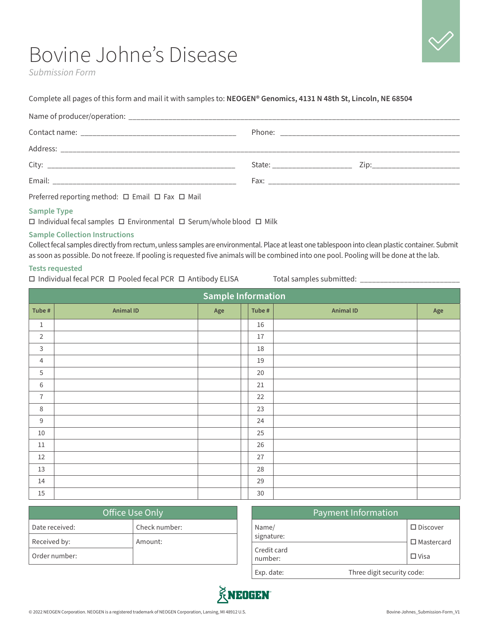# Bovine Johne's Disease

*Submission Form*

### Complete all pages of this form and mail it with samples to: **NEOGEN® Genomics, 4131 N 48th St, Lincoln, NE 68504**

|                                                                                                                                                                                                                                | State: <u>2ip: 2ip:</u> |  |
|--------------------------------------------------------------------------------------------------------------------------------------------------------------------------------------------------------------------------------|-------------------------|--|
| Email: Email: All and the state of the state of the state of the state of the state of the state of the state of the state of the state of the state of the state of the state of the state of the state of the state of the s |                         |  |
| Preferred reporting method: □ Email □ Fax □ Mail                                                                                                                                                                               |                         |  |

## **Sample Type**

 $\Box$  Individual fecal samples  $\Box$  Environmental  $\Box$  Serum/whole blood  $\Box$  Milk

# **Sample Collection Instructions**

Collect fecal samples directly from rectum, unless samples are environmental. Place at least one tablespoon into clean plastic container. Submit as soon as possible. Do not freeze. If pooling is requested five animals will be combined into one pool. Pooling will be done at the lab.

#### **Tests requested**

 $\Box$  Individual fecal PCR  $\Box$  Pooled fecal PCR  $\Box$  Antibody ELISA Total samples submitted:  $\Box$ 

| <b>Sample Information</b> |                  |     |        |                  |             |
|---------------------------|------------------|-----|--------|------------------|-------------|
| Tube #                    | <b>Animal ID</b> | Age | Tube # | <b>Animal ID</b> | ${\sf Age}$ |
| $\mathbf{1}$              |                  |     | 16     |                  |             |
| $\overline{2}$            |                  |     | $17\,$ |                  |             |
| $\mathsf{3}$              |                  |     | 18     |                  |             |
| $\overline{4}$            |                  |     | 19     |                  |             |
| 5                         |                  |     | 20     |                  |             |
| $\,6\,$                   |                  |     | 21     |                  |             |
| $\overline{7}$            |                  |     | 22     |                  |             |
| 8                         |                  |     | 23     |                  |             |
| $\mathsf 9$               |                  |     | 24     |                  |             |
| 10                        |                  |     | 25     |                  |             |
| $11\,$                    |                  |     | 26     |                  |             |
| $12\,$                    |                  |     | 27     |                  |             |
| 13                        |                  |     | 28     |                  |             |
| 14                        |                  |     | 29     |                  |             |
| 15                        |                  |     | $30\,$ |                  |             |

| Office Use Only |               |  |  |
|-----------------|---------------|--|--|
| Date received:  | Check number: |  |  |
| Received by:    | Amount:       |  |  |
| Order number:   |               |  |  |

|                        | <b>Payment Information</b>                 |
|------------------------|--------------------------------------------|
| Name/<br>signature:    | $\square$ Discover<br>$\square$ Mastercard |
| Credit card<br>number: | $\Box$ Visa                                |
| Exp. date:             | Three digit security code:                 |